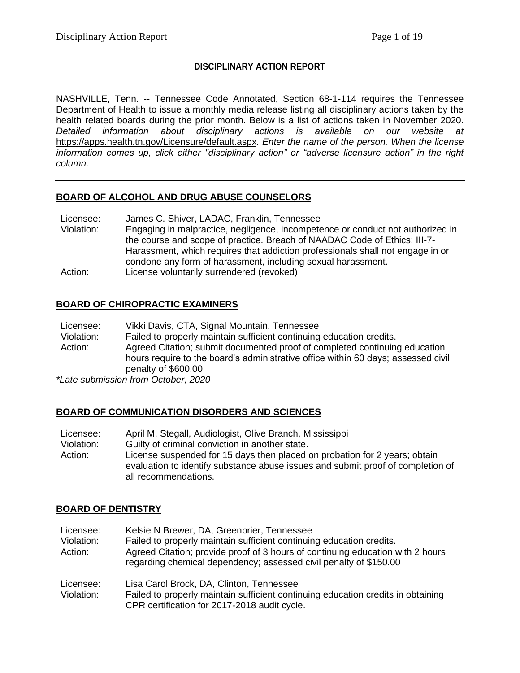## **DISCIPLINARY ACTION REPORT**

NASHVILLE, Tenn. -- Tennessee Code Annotated, Section 68-1-114 requires the Tennessee Department of Health to issue a monthly media release listing all disciplinary actions taken by the health related boards during the prior month. Below is a list of actions taken in November 2020. *Detailed information about disciplinary actions is available on our website at*  <https://apps.health.tn.gov/Licensure/default.aspx>*. Enter the name of the person. When the license information comes up, click either "disciplinary action" or "adverse licensure action" in the right column.*

## **BOARD OF ALCOHOL AND DRUG ABUSE COUNSELORS**

- Licensee: James C. Shiver, LADAC, Franklin, Tennessee
- Violation: Engaging in malpractice, negligence, incompetence or conduct not authorized in the course and scope of practice. Breach of NAADAC Code of Ethics: III-7- Harassment, which requires that addiction professionals shall not engage in or condone any form of harassment, including sexual harassment.
- Action: License voluntarily surrendered (revoked)

## **BOARD OF CHIROPRACTIC EXAMINERS**

Licensee: Vikki Davis, CTA, Signal Mountain, Tennessee

Violation: Failed to properly maintain sufficient continuing education credits. Action: Agreed Citation; submit documented proof of completed continuing education hours require to the board's administrative office within 60 days; assessed civil penalty of \$600.00

*\*Late submission from October, 2020*

## **BOARD OF COMMUNICATION DISORDERS AND SCIENCES**

| Licensee:  | April M. Stegall, Audiologist, Olive Branch, Mississippi                        |
|------------|---------------------------------------------------------------------------------|
| Violation: | Guilty of criminal conviction in another state.                                 |
| Action:    | License suspended for 15 days then placed on probation for 2 years; obtain      |
|            | evaluation to identify substance abuse issues and submit proof of completion of |
|            | all recommendations.                                                            |

# **BOARD OF DENTISTRY**

Licensee: Kelsie N Brewer, DA, Greenbrier, Tennessee Violation: Failed to properly maintain sufficient continuing education credits. Action: Agreed Citation; provide proof of 3 hours of continuing education with 2 hours regarding chemical dependency; assessed civil penalty of \$150.00 Licensee: Lisa Carol Brock, DA, Clinton, Tennessee Violation: Failed to properly maintain sufficient continuing education credits in obtaining

CPR certification for 2017-2018 audit cycle.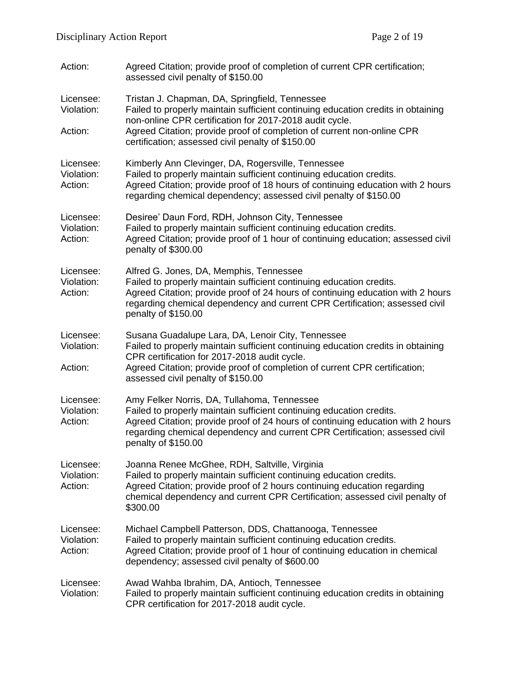| Action:                            | Agreed Citation; provide proof of completion of current CPR certification;<br>assessed civil penalty of \$150.00                                                                                                                                                                                             |
|------------------------------------|--------------------------------------------------------------------------------------------------------------------------------------------------------------------------------------------------------------------------------------------------------------------------------------------------------------|
| Licensee:<br>Violation:<br>Action: | Tristan J. Chapman, DA, Springfield, Tennessee<br>Failed to properly maintain sufficient continuing education credits in obtaining<br>non-online CPR certification for 2017-2018 audit cycle.<br>Agreed Citation; provide proof of completion of current non-online CPR                                      |
|                                    | certification; assessed civil penalty of \$150.00                                                                                                                                                                                                                                                            |
| Licensee:<br>Violation:<br>Action: | Kimberly Ann Clevinger, DA, Rogersville, Tennessee<br>Failed to properly maintain sufficient continuing education credits.<br>Agreed Citation; provide proof of 18 hours of continuing education with 2 hours<br>regarding chemical dependency; assessed civil penalty of \$150.00                           |
| Licensee:<br>Violation:<br>Action: | Desiree' Daun Ford, RDH, Johnson City, Tennessee<br>Failed to properly maintain sufficient continuing education credits.<br>Agreed Citation; provide proof of 1 hour of continuing education; assessed civil<br>penalty of \$300.00                                                                          |
| Licensee:<br>Violation:<br>Action: | Alfred G. Jones, DA, Memphis, Tennessee<br>Failed to properly maintain sufficient continuing education credits.<br>Agreed Citation; provide proof of 24 hours of continuing education with 2 hours<br>regarding chemical dependency and current CPR Certification; assessed civil<br>penalty of \$150.00     |
| Licensee:<br>Violation:<br>Action: | Susana Guadalupe Lara, DA, Lenoir City, Tennessee<br>Failed to properly maintain sufficient continuing education credits in obtaining<br>CPR certification for 2017-2018 audit cycle.<br>Agreed Citation; provide proof of completion of current CPR certification;                                          |
|                                    | assessed civil penalty of \$150.00                                                                                                                                                                                                                                                                           |
| Licensee:<br>Violation:<br>Action: | Amy Felker Norris, DA, Tullahoma, Tennessee<br>Failed to properly maintain sufficient continuing education credits.<br>Agreed Citation; provide proof of 24 hours of continuing education with 2 hours<br>regarding chemical dependency and current CPR Certification; assessed civil<br>penalty of \$150.00 |
| Licensee:<br>Violation:<br>Action: | Joanna Renee McGhee, RDH, Saltville, Virginia<br>Failed to properly maintain sufficient continuing education credits.<br>Agreed Citation; provide proof of 2 hours continuing education regarding<br>chemical dependency and current CPR Certification; assessed civil penalty of<br>\$300.00                |
| Licensee:<br>Violation:<br>Action: | Michael Campbell Patterson, DDS, Chattanooga, Tennessee<br>Failed to properly maintain sufficient continuing education credits.<br>Agreed Citation; provide proof of 1 hour of continuing education in chemical<br>dependency; assessed civil penalty of \$600.00                                            |
| Licensee:<br>Violation:            | Awad Wahba Ibrahim, DA, Antioch, Tennessee<br>Failed to properly maintain sufficient continuing education credits in obtaining<br>CPR certification for 2017-2018 audit cycle.                                                                                                                               |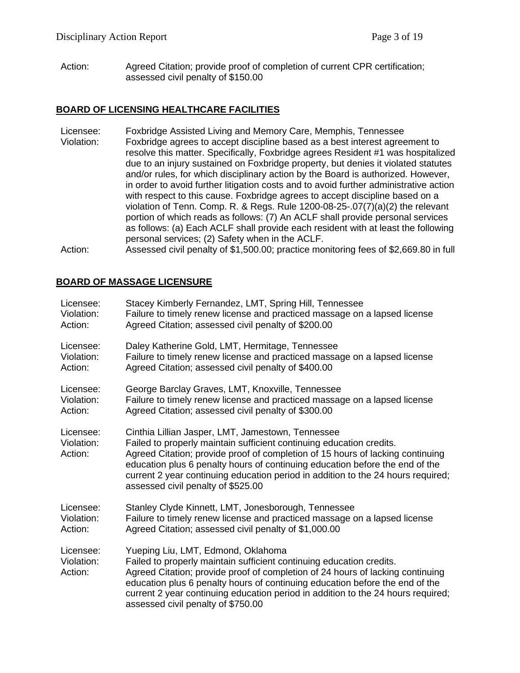Action: Agreed Citation; provide proof of completion of current CPR certification; assessed civil penalty of \$150.00

## **BOARD OF LICENSING HEALTHCARE FACILITIES**

Licensee: Foxbridge Assisted Living and Memory Care, Memphis, Tennessee Violation: Foxbridge agrees to accept discipline based as a best interest agreement to resolve this matter. Specifically, Foxbridge agrees Resident #1 was hospitalized due to an injury sustained on Foxbridge property, but denies it violated statutes and/or rules, for which disciplinary action by the Board is authorized. However, in order to avoid further litigation costs and to avoid further administrative action with respect to this cause. Foxbridge agrees to accept discipline based on a violation of Tenn. Comp. R. & Regs. Rule 1200-08-25-.07(7)(a)(2) the relevant portion of which reads as follows: (7) An ACLF shall provide personal services as follows: (a) Each ACLF shall provide each resident with at least the following personal services; (2) Safety when in the ACLF. Action: Assessed civil penalty of \$1,500.00; practice monitoring fees of \$2,669.80 in full

## **BOARD OF MASSAGE LICENSURE**

| Licensee:                          | Stacey Kimberly Fernandez, LMT, Spring Hill, Tennessee                                                                                                                                                                                                                                                                                                                                                                |
|------------------------------------|-----------------------------------------------------------------------------------------------------------------------------------------------------------------------------------------------------------------------------------------------------------------------------------------------------------------------------------------------------------------------------------------------------------------------|
| Violation:                         | Failure to timely renew license and practiced massage on a lapsed license                                                                                                                                                                                                                                                                                                                                             |
| Action:                            | Agreed Citation; assessed civil penalty of \$200.00                                                                                                                                                                                                                                                                                                                                                                   |
| Licensee:                          | Daley Katherine Gold, LMT, Hermitage, Tennessee                                                                                                                                                                                                                                                                                                                                                                       |
| Violation:                         | Failure to timely renew license and practiced massage on a lapsed license                                                                                                                                                                                                                                                                                                                                             |
| Action:                            | Agreed Citation; assessed civil penalty of \$400.00                                                                                                                                                                                                                                                                                                                                                                   |
| Licensee:                          | George Barclay Graves, LMT, Knoxville, Tennessee                                                                                                                                                                                                                                                                                                                                                                      |
| Violation:                         | Failure to timely renew license and practiced massage on a lapsed license                                                                                                                                                                                                                                                                                                                                             |
| Action:                            | Agreed Citation; assessed civil penalty of \$300.00                                                                                                                                                                                                                                                                                                                                                                   |
| Licensee:<br>Violation:<br>Action: | Cinthia Lillian Jasper, LMT, Jamestown, Tennessee<br>Failed to properly maintain sufficient continuing education credits.<br>Agreed Citation; provide proof of completion of 15 hours of lacking continuing<br>education plus 6 penalty hours of continuing education before the end of the<br>current 2 year continuing education period in addition to the 24 hours required;<br>assessed civil penalty of \$525.00 |
| Licensee:                          | Stanley Clyde Kinnett, LMT, Jonesborough, Tennessee                                                                                                                                                                                                                                                                                                                                                                   |
| Violation:                         | Failure to timely renew license and practiced massage on a lapsed license                                                                                                                                                                                                                                                                                                                                             |
| Action:                            | Agreed Citation; assessed civil penalty of \$1,000.00                                                                                                                                                                                                                                                                                                                                                                 |
| Licensee:<br>Violation:<br>Action: | Yueping Liu, LMT, Edmond, Oklahoma<br>Failed to properly maintain sufficient continuing education credits.<br>Agreed Citation; provide proof of completion of 24 hours of lacking continuing<br>education plus 6 penalty hours of continuing education before the end of the<br>current 2 year continuing education period in addition to the 24 hours required;<br>assessed civil penalty of \$750.00                |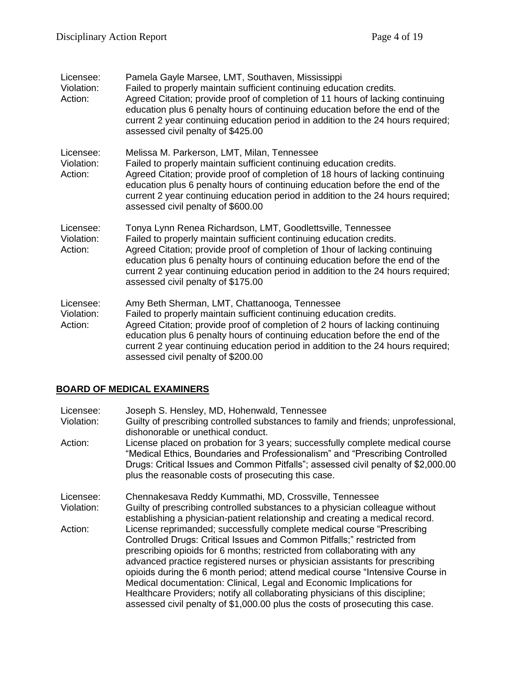| Licensee:<br>Violation:<br>Action: | Pamela Gayle Marsee, LMT, Southaven, Mississippi<br>Failed to properly maintain sufficient continuing education credits.<br>Agreed Citation; provide proof of completion of 11 hours of lacking continuing<br>education plus 6 penalty hours of continuing education before the end of the<br>current 2 year continuing education period in addition to the 24 hours required;<br>assessed civil penalty of \$425.00          |
|------------------------------------|-------------------------------------------------------------------------------------------------------------------------------------------------------------------------------------------------------------------------------------------------------------------------------------------------------------------------------------------------------------------------------------------------------------------------------|
| Licensee:<br>Violation:<br>Action: | Melissa M. Parkerson, LMT, Milan, Tennessee<br>Failed to properly maintain sufficient continuing education credits.<br>Agreed Citation; provide proof of completion of 18 hours of lacking continuing<br>education plus 6 penalty hours of continuing education before the end of the<br>current 2 year continuing education period in addition to the 24 hours required;<br>assessed civil penalty of \$600.00               |
| Licensee:<br>Violation:<br>Action: | Tonya Lynn Renea Richardson, LMT, Goodlettsville, Tennessee<br>Failed to properly maintain sufficient continuing education credits.<br>Agreed Citation; provide proof of completion of 1 hour of lacking continuing<br>education plus 6 penalty hours of continuing education before the end of the<br>current 2 year continuing education period in addition to the 24 hours required;<br>assessed civil penalty of \$175.00 |
| Licensee:<br>Violation:<br>Action: | Amy Beth Sherman, LMT, Chattanooga, Tennessee<br>Failed to properly maintain sufficient continuing education credits.<br>Agreed Citation; provide proof of completion of 2 hours of lacking continuing<br>education plus 6 penalty hours of continuing education before the end of the<br>current 2 year continuing education period in addition to the 24 hours required;<br>assessed civil penalty of \$200.00              |

# **BOARD OF MEDICAL EXAMINERS**

| Licensee:<br>Violation: | Joseph S. Hensley, MD, Hohenwald, Tennessee<br>Guilty of prescribing controlled substances to family and friends; unprofessional,<br>dishonorable or unethical conduct.                                                                                                                                                                                                                                                                                                                                                                                                                                                                 |
|-------------------------|-----------------------------------------------------------------------------------------------------------------------------------------------------------------------------------------------------------------------------------------------------------------------------------------------------------------------------------------------------------------------------------------------------------------------------------------------------------------------------------------------------------------------------------------------------------------------------------------------------------------------------------------|
| Action:                 | License placed on probation for 3 years; successfully complete medical course<br>"Medical Ethics, Boundaries and Professionalism" and "Prescribing Controlled<br>Drugs: Critical Issues and Common Pitfalls"; assessed civil penalty of \$2,000.00<br>plus the reasonable costs of prosecuting this case.                                                                                                                                                                                                                                                                                                                               |
| Licensee:               | Chennakesava Reddy Kummathi, MD, Crossville, Tennessee                                                                                                                                                                                                                                                                                                                                                                                                                                                                                                                                                                                  |
| Violation:              | Guilty of prescribing controlled substances to a physician colleague without<br>establishing a physician-patient relationship and creating a medical record.                                                                                                                                                                                                                                                                                                                                                                                                                                                                            |
| Action:                 | License reprimanded; successfully complete medical course "Prescribing<br>Controlled Drugs: Critical Issues and Common Pitfalls;" restricted from<br>prescribing opioids for 6 months; restricted from collaborating with any<br>advanced practice registered nurses or physician assistants for prescribing<br>opioids during the 6 month period; attend medical course "Intensive Course in<br>Medical documentation: Clinical, Legal and Economic Implications for<br>Healthcare Providers; notify all collaborating physicians of this discipline;<br>assessed civil penalty of \$1,000.00 plus the costs of prosecuting this case. |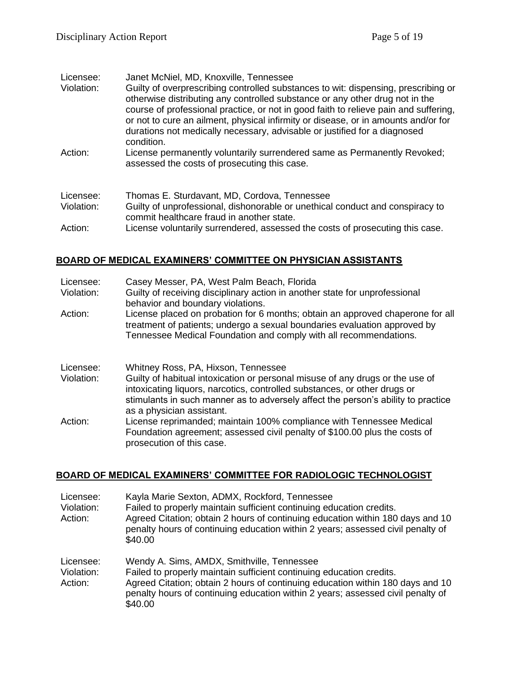| Licensee:  | Janet McNiel, MD, Knoxville, Tennessee                                                                                   |
|------------|--------------------------------------------------------------------------------------------------------------------------|
| Violation: | Guilty of overprescribing controlled substances to wit: dispensing, prescribing or                                       |
|            | otherwise distributing any controlled substance or any other drug not in the                                             |
|            | course of professional practice, or not in good faith to relieve pain and suffering,                                     |
|            | or not to cure an ailment, physical infirmity or disease, or in amounts and/or for                                       |
|            | durations not medically necessary, advisable or justified for a diagnosed                                                |
|            | condition.                                                                                                               |
| Action:    | License permanently voluntarily surrendered same as Permanently Revoked;<br>assessed the costs of prosecuting this case. |
|            |                                                                                                                          |
| Licensee:  | Thomas E. Sturdavant, MD, Cordova, Tennessee                                                                             |
| Violation: | Guilty of unprofessional, dishonorable or unethical conduct and conspiracy to                                            |
|            | commit healthcare fraud in another state.                                                                                |
| Action:    | License voluntarily surrendered, assessed the costs of prosecuting this case.                                            |

# **BOARD OF MEDICAL EXAMINERS' COMMITTEE ON PHYSICIAN ASSISTANTS**

| Licensee:<br>Violation:<br>Action: | Casey Messer, PA, West Palm Beach, Florida<br>Guilty of receiving disciplinary action in another state for unprofessional<br>behavior and boundary violations.<br>License placed on probation for 6 months; obtain an approved chaperone for all<br>treatment of patients; undergo a sexual boundaries evaluation approved by<br>Tennessee Medical Foundation and comply with all recommendations. |
|------------------------------------|----------------------------------------------------------------------------------------------------------------------------------------------------------------------------------------------------------------------------------------------------------------------------------------------------------------------------------------------------------------------------------------------------|
| Licensee:<br>Violation:            | Whitney Ross, PA, Hixson, Tennessee<br>Guilty of habitual intoxication or personal misuse of any drugs or the use of<br>intoxicating liquors, narcotics, controlled substances, or other drugs or<br>stimulants in such manner as to adversely affect the person's ability to practice<br>as a physician assistant.                                                                                |
| Action:                            | License reprimanded; maintain 100% compliance with Tennessee Medical<br>Foundation agreement; assessed civil penalty of \$100.00 plus the costs of<br>prosecution of this case.                                                                                                                                                                                                                    |

# **BOARD OF MEDICAL EXAMINERS' COMMITTEE FOR RADIOLOGIC TECHNOLOGIST**

| Licensee:<br>Violation:<br>Action: | Kayla Marie Sexton, ADMX, Rockford, Tennessee<br>Failed to properly maintain sufficient continuing education credits.<br>Agreed Citation; obtain 2 hours of continuing education within 180 days and 10<br>penalty hours of continuing education within 2 years; assessed civil penalty of<br>\$40.00 |
|------------------------------------|-------------------------------------------------------------------------------------------------------------------------------------------------------------------------------------------------------------------------------------------------------------------------------------------------------|
| Licensee:<br>Violation:<br>Action: | Wendy A. Sims, AMDX, Smithville, Tennessee<br>Failed to properly maintain sufficient continuing education credits.<br>Agreed Citation; obtain 2 hours of continuing education within 180 days and 10<br>penalty hours of continuing education within 2 years; assessed civil penalty of<br>\$40.00    |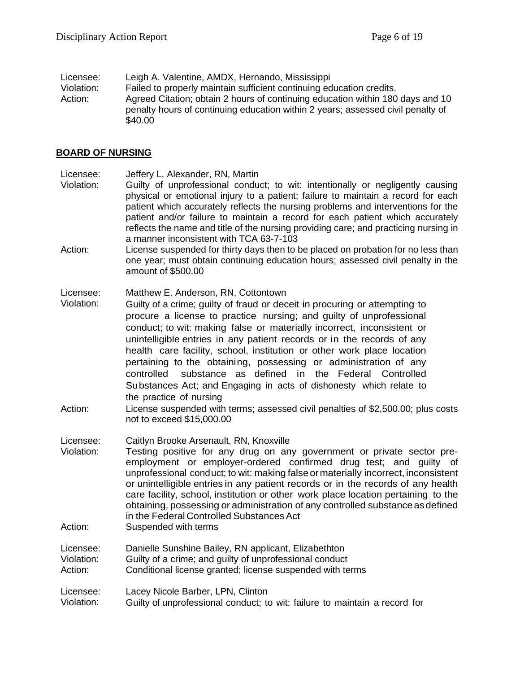Licensee: Leigh A. Valentine, AMDX, Hernando, Mississippi Violation: Failed to properly maintain sufficient continuing education credits. Action: Agreed Citation; obtain 2 hours of continuing education within 180 days and 10 penalty hours of continuing education within 2 years; assessed civil penalty of \$40.00

#### **BOARD OF NURSING**

Licensee: Jeffery L. Alexander, RN, Martin

- Violation: Guilty of unprofessional conduct; to wit: intentionally or negligently causing physical or emotional injury to a patient; failure to maintain a record for each patient which accurately reflects the nursing problems and interventions for the patient and/or failure to maintain a record for each patient which accurately reflects the name and title of the nursing providing care; and practicing nursing in a manner inconsistent with TCA 63-7-103
- Action: License suspended for thirty days then to be placed on probation for no less than one year; must obtain continuing education hours; assessed civil penalty in the amount of \$500.00

## Licensee: Matthew E. Anderson, RN, Cottontown

- Violation: Guilty of a crime; guilty of fraud or deceit in procuring or attempting to procure a license to practice nursing; and guilty of unprofessional conduct; to wit: making false or materially incorrect, inconsistent or unintelligible entries in any patient records or in the records of any health care facility, school, institution or other work place location pertaining to the obtaining, possessing or administration of any controlled substance as defined in the Federal Controlled Substances Act; and Engaging in acts of dishonesty which relate to the practice of nursing
- Action: License suspended with terms; assessed civil penalties of \$2,500.00; plus costs not to exceed \$15,000.00

Licensee: Caitlyn Brooke Arsenault, RN, Knoxville

- Violation: Testing positive for any drug on any government or private sector preemployment or employer-ordered confirmed drug test; and guilty of unprofessional conduct; to wit: making falseormaterially incorrect, inconsistent or unintelligible entries in any patient records or in the records of any health care facility, school, institution or other work place location pertaining to the obtaining, possessing or administration of any controlled substance as defined in the Federal Controlled Substances Act
- Action: Suspended with terms
- Licensee: Danielle Sunshine Bailey, RN applicant, Elizabethton
- Violation: Guilty of a crime; and guilty of unprofessional conduct
- Action: Conditional license granted; license suspended with terms

Licensee: Lacey Nicole Barber, LPN, Clinton

Violation: Guilty of unprofessional conduct; to wit: failure to maintain a record for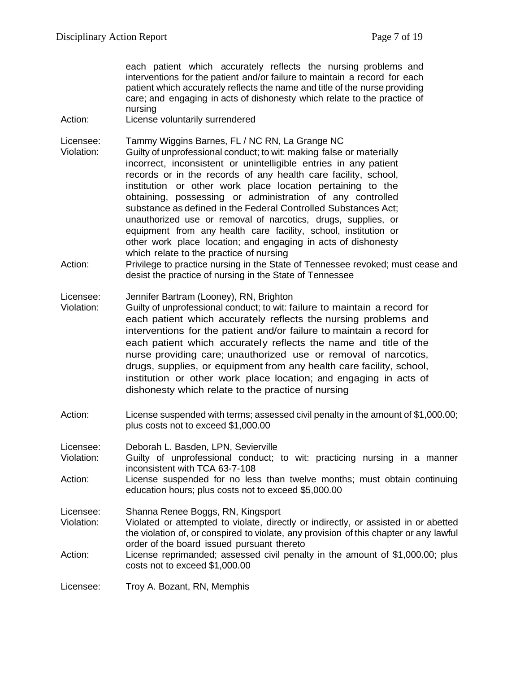each patient which accurately reflects the nursing problems and interventions for the patient and/or failure to maintain a record for each patient which accurately reflects the name and title of the nurse providing care; and engaging in acts of dishonesty which relate to the practice of nursing

Action: License voluntarily surrendered

Licensee: Tammy Wiggins Barnes, FL / NC RN, La Grange NC

- Violation: Guilty of unprofessional conduct; to wit: making false or materially incorrect, inconsistent or unintelligible entries in any patient records or in the records of any health care facility, school, institution or other work place location pertaining to the obtaining, possessing or administration of any controlled substance as defined in the Federal Controlled Substances Act; unauthorized use or removal of narcotics, drugs, supplies, or equipment from any health care facility, school, institution or other work place location; and engaging in acts of dishonesty which relate to the practice of nursing
- Action: Privilege to practice nursing in the State of Tennessee revoked; must cease and desist the practice of nursing in the State of Tennessee

#### Licensee: Jennifer Bartram (Looney), RN, Brighton

- Violation: Guilty of unprofessional conduct; to wit: failure to maintain a record for each patient which accurately reflects the nursing problems and interventions for the patient and/or failure to maintain a record for each patient which accurately reflects the name and title of the nurse providing care; unauthorized use or removal of narcotics, drugs, supplies, or equipment from any health care facility, school, institution or other work place location; and engaging in acts of dishonesty which relate to the practice of nursing
- Action: License suspended with terms; assessed civil penalty in the amount of \$1,000.00; plus costs not to exceed \$1,000.00
- Licensee: Deborah L. Basden, LPN, Sevierville
- Violation: Guilty of unprofessional conduct; to wit: practicing nursing in a manner inconsistent with TCA 63-7-108
- Action: License suspended for no less than twelve months; must obtain continuing education hours; plus costs not to exceed \$5,000.00
- Licensee: Shanna Renee Boggs, RN, Kingsport
- Violation: Violated or attempted to violate, directly or indirectly, or assisted in or abetted the violation of, or conspired to violate, any provision of this chapter or any lawful order of the board issued pursuant thereto
- Action: License reprimanded; assessed civil penalty in the amount of \$1,000.00; plus costs not to exceed \$1,000.00
- Licensee: Troy A. Bozant, RN, Memphis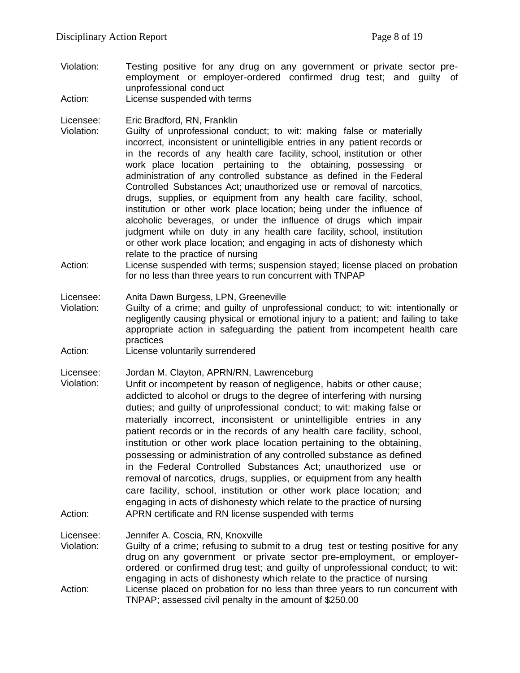Violation: Testing positive for any drug on any government or private sector preemployment or employer-ordered confirmed drug test; and guilty of unprofessional conduct

Action: License suspended with terms

Licensee: Eric Bradford, RN, Franklin

- Violation: Guilty of unprofessional conduct; to wit: making false or materially incorrect, inconsistent or unintelligible entries in any patient records or in the records of any health care facility, school, institution or other work place location pertaining to the obtaining, possessing or administration of any controlled substance as defined in the Federal Controlled Substances Act; unauthorized use or removal of narcotics, drugs, supplies, or equipment from any health care facility, school, institution or other work place location; being under the influence of alcoholic beverages, or under the influence of drugs which impair judgment while on duty in any health care facility, school, institution or other work place location; and engaging in acts of dishonesty which relate to the practice of nursing
- Action: License suspended with terms; suspension stayed; license placed on probation for no less than three years to run concurrent with TNPAP

Licensee: Anita Dawn Burgess, LPN, Greeneville

- Violation: Guilty of a crime; and guilty of unprofessional conduct; to wit: intentionally or negligently causing physical or emotional injury to a patient; and failing to take appropriate action in safeguarding the patient from incompetent health care practices
- Action: License voluntarily surrendered

Licensee: Jordan M. Clayton, APRN/RN, Lawrenceburg

Violation: Unfit or incompetent by reason of negligence, habits or other cause; addicted to alcohol or drugs to the degree of interfering with nursing duties; and guilty of unprofessional conduct; to wit: making false or materially incorrect, inconsistent or unintelligible entries in any patient records or in the records of any health care facility, school, institution or other work place location pertaining to the obtaining, possessing or administration of any controlled substance as defined in the Federal Controlled Substances Act; unauthorized use or removal of narcotics, drugs, supplies, or equipment from any health care facility, school, institution or other work place location; and engaging in acts of dishonesty which relate to the practice of nursing Action: APRN certificate and RN license suspended with terms

Licensee: Jennifer A. Coscia, RN, Knoxville

Violation: Guilty of a crime; refusing to submit to a drug test or testing positive for any drug on any government or private sector pre-employment, or employerordered or confirmed drug test; and guilty of unprofessional conduct; to wit: engaging in acts of dishonesty which relate to the practice of nursing Action: License placed on probation for no less than three years to run concurrent with TNPAP; assessed civil penalty in the amount of \$250.00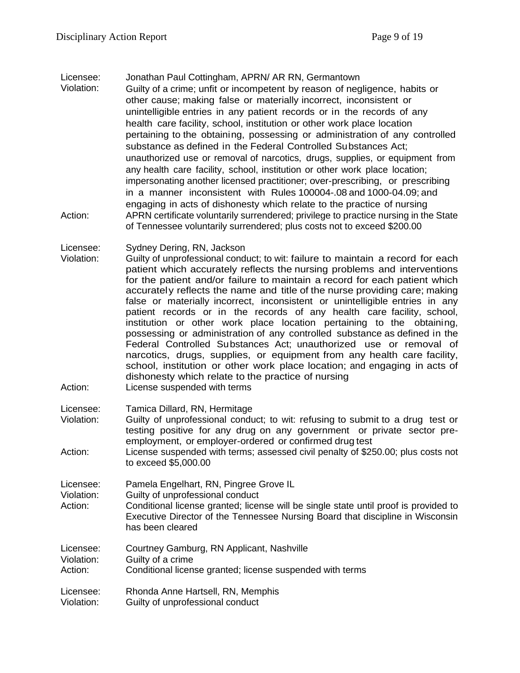Licensee: Jonathan Paul Cottingham, APRN/ AR RN, Germantown Violation: Guilty of a crime; unfit or incompetent by reason of negligence, habits or other cause; making false or materially incorrect, inconsistent or unintelligible entries in any patient records or in the records of any health care facility, school, institution or other work place location pertaining to the obtaining, possessing or administration of any controlled substance as defined in the Federal Controlled Substances Act; unauthorized use or removal of narcotics, drugs, supplies, or equipment from any health care facility, school, institution or other work place location; impersonating another licensed practitioner; over-prescribing, or prescribing in a manner inconsistent with Rules 100004-.08 and 1000-04.09; and engaging in acts of dishonesty which relate to the practice of nursing Action: APRN certificate voluntarily surrendered; privilege to practice nursing in the State of Tennessee voluntarily surrendered; plus costs not to exceed \$200.00

Licensee: Sydney Dering, RN, Jackson

- Violation: Guilty of unprofessional conduct; to wit: failure to maintain a record for each patient which accurately reflects the nursing problems and interventions for the patient and/or failure to maintain a record for each patient which accurately reflects the name and title of the nurse providing care; making false or materially incorrect, inconsistent or unintelligible entries in any patient records or in the records of any health care facility, school, institution or other work place location pertaining to the obtaining, possessing or administration of any controlled substance as defined in the Federal Controlled Substances Act; unauthorized use or removal of narcotics, drugs, supplies, or equipment from any health care facility, school, institution or other work place location; and engaging in acts of dishonesty which relate to the practice of nursing
- Action: License suspended with terms

Licensee: Tamica Dillard, RN, Hermitage

- Violation: Guilty of unprofessional conduct; to wit: refusing to submit to a drug test or testing positive for any drug on any government or private sector preemployment, or employer-ordered or confirmed drug test
- Action: License suspended with terms; assessed civil penalty of \$250.00; plus costs not to exceed \$5,000.00

Licensee: Pamela Engelhart, RN, Pingree Grove IL

Violation: Guilty of unprofessional conduct

Action: Conditional license granted; license will be single state until proof is provided to Executive Director of the Tennessee Nursing Board that discipline in Wisconsin has been cleared

Licensee: Courtney Gamburg, RN Applicant, Nashville Violation: Guilty of a crime Action: Conditional license granted; license suspended with terms Licensee: Rhonda Anne Hartsell, RN, Memphis

Violation: Guilty of unprofessional conduct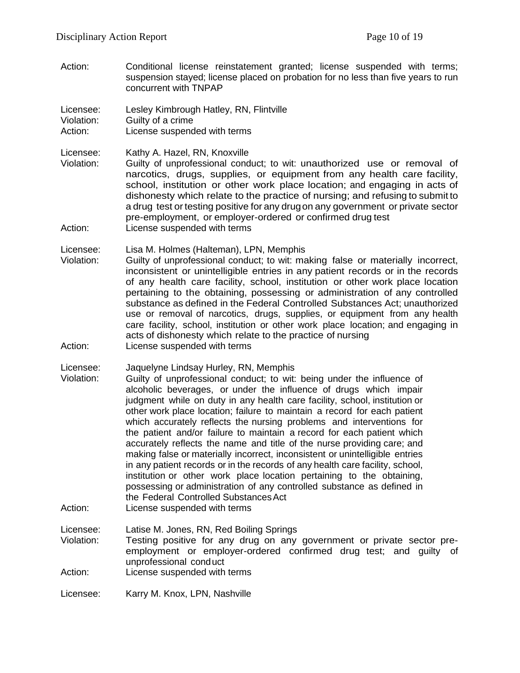Action: Conditional license reinstatement granted; license suspended with terms; suspension stayed; license placed on probation for no less than five years to run concurrent with TNPAP

Licensee: Lesley Kimbrough Hatley, RN, Flintville Violation: Guilty of a crime Action: License suspended with terms

Licensee: Kathy A. Hazel, RN, Knoxville

- Violation: Guilty of unprofessional conduct; to wit: unauthorized use or removal of narcotics, drugs, supplies, or equipment from any health care facility, school, institution or other work place location; and engaging in acts of dishonesty which relate to the practice of nursing; and refusing to submit to a drug test or testing positive for any drugon any government or private sector pre-employment, or employer-ordered or confirmed drug test
- Action: License suspended with terms

Licensee: Lisa M. Holmes (Halteman), LPN, Memphis

- Violation: Guilty of unprofessional conduct; to wit: making false or materially incorrect, inconsistent or unintelligible entries in any patient records or in the records of any health care facility, school, institution or other work place location pertaining to the obtaining, possessing or administration of any controlled substance as defined in the Federal Controlled Substances Act; unauthorized use or removal of narcotics, drugs, supplies, or equipment from any health care facility, school, institution or other work place location; and engaging in acts of dishonesty which relate to the practice of nursing
- Action: License suspended with terms

Licensee: Jaquelyne Lindsay Hurley, RN, Memphis

Violation: Guilty of unprofessional conduct; to wit: being under the influence of alcoholic beverages, or under the influence of drugs which impair judgment while on duty in any health care facility, school, institution or other work place location; failure to maintain a record for each patient which accurately reflects the nursing problems and interventions for the patient and/or failure to maintain a record for each patient which accurately reflects the name and title of the nurse providing care; and making false or materially incorrect, inconsistent or unintelligible entries in any patient records or in the records of any health care facility, school, institution or other work place location pertaining to the obtaining, possessing or administration of any controlled substance as defined in the Federal Controlled SubstancesAct

Action: License suspended with terms

Licensee: Latise M. Jones, RN, Red Boiling Springs

Violation: Testing positive for any drug on any government or private sector preemployment or employer-ordered confirmed drug test; and guilty of unprofessional conduct

Action: License suspended with terms

Licensee: Karry M. Knox, LPN, Nashville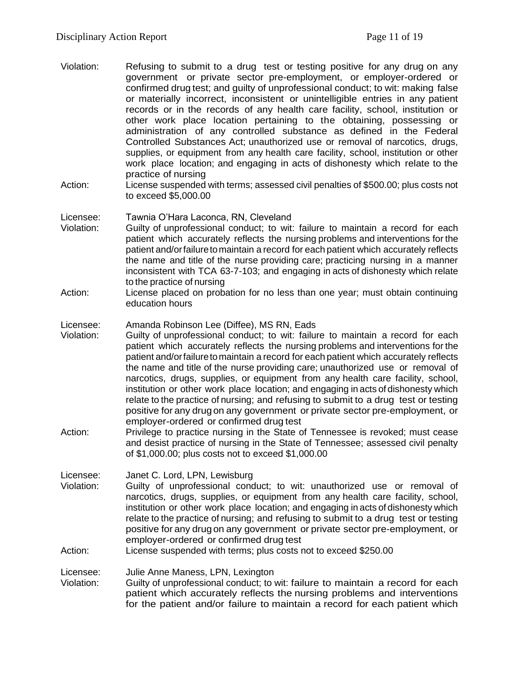- Violation: Refusing to submit to a drug test or testing positive for any drug on any government or private sector pre-employment, or employer-ordered or confirmed drug test; and guilty of unprofessional conduct; to wit: making false or materially incorrect, inconsistent or unintelligible entries in any patient records or in the records of any health care facility, school, institution or other work place location pertaining to the obtaining, possessing or administration of any controlled substance as defined in the Federal Controlled Substances Act; unauthorized use or removal of narcotics, drugs, supplies, or equipment from any health care facility, school, institution or other work place location; and engaging in acts of dishonesty which relate to the practice of nursing
- Action: License suspended with terms; assessed civil penalties of \$500.00; plus costs not to exceed \$5,000.00

Licensee: Tawnia O'Hara Laconca, RN, Cleveland

- Violation: Guilty of unprofessional conduct; to wit: failure to maintain a record for each patient which accurately reflects the nursing problems and interventions for the patient and/orfailuretomaintain a record for each patient which accurately reflects the name and title of the nurse providing care; practicing nursing in a manner inconsistent with TCA 63-7-103; and engaging in acts of dishonesty which relate to the practice of nursing
- Action: License placed on probation for no less than one year; must obtain continuing education hours

Licensee: Amanda Robinson Lee (Diffee), MS RN, Eads

- Violation: Guilty of unprofessional conduct; to wit: failure to maintain a record for each patient which accurately reflects the nursing problems and interventions for the patient and/orfailuretomaintain a record for each patient which accurately reflects the name and title of the nurse providing care; unauthorized use or removal of narcotics, drugs, supplies, or equipment from any health care facility, school, institution or other work place location; and engaging in acts of dishonesty which relate to the practice of nursing; and refusing to submit to a drug test or testing positive for any drug on any government or private sector pre-employment, or employer-ordered or confirmed drug test
- Action: Privilege to practice nursing in the State of Tennessee is revoked; must cease and desist practice of nursing in the State of Tennessee; assessed civil penalty of \$1,000.00; plus costs not to exceed \$1,000.00

Licensee: Janet C. Lord, LPN, Lewisburg

Violation: Guilty of unprofessional conduct; to wit: unauthorized use or removal of narcotics, drugs, supplies, or equipment from any health care facility, school, institution or other work place location; and engaging in acts of dishonesty which relate to the practice of nursing; and refusing to submit to a drug test or testing positive for any drug on any government or private sector pre-employment, or employer-ordered or confirmed drug test

Action: License suspended with terms; plus costs not to exceed \$250.00

Licensee: Julie Anne Maness, LPN, Lexington

Violation: Guilty of unprofessional conduct; to wit: failure to maintain a record for each patient which accurately reflects the nursing problems and interventions for the patient and/or failure to maintain a record for each patient which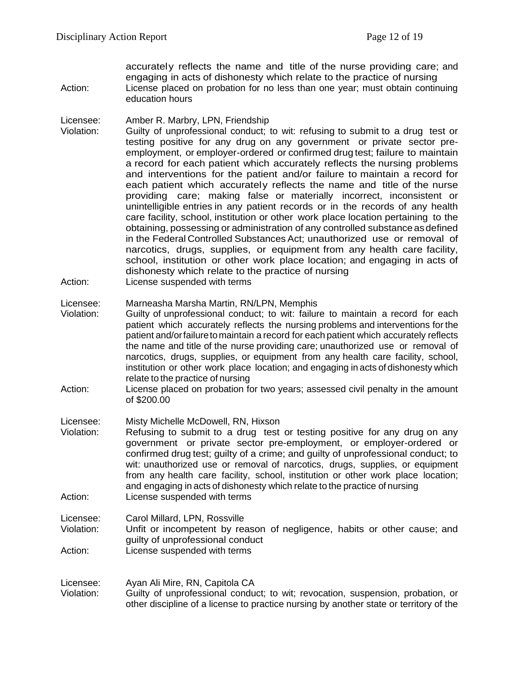accurately reflects the name and title of the nurse providing care; and engaging in acts of dishonesty which relate to the practice of nursing

Action: License placed on probation for no less than one year; must obtain continuing education hours

Licensee: Amber R. Marbry, LPN, Friendship

- Violation: Guilty of unprofessional conduct; to wit: refusing to submit to a drug test or testing positive for any drug on any government or private sector preemployment, or employer-ordered or confirmed drug test; failure to maintain a record for each patient which accurately reflects the nursing problems and interventions for the patient and/or failure to maintain a record for each patient which accurately reflects the name and title of the nurse providing care; making false or materially incorrect, inconsistent or unintelligible entries in any patient records or in the records of any health care facility, school, institution or other work place location pertaining to the obtaining, possessing or administration of any controlled substanceasdefined in the Federal Controlled Substances Act; unauthorized use or removal of narcotics, drugs, supplies, or equipment from any health care facility, school, institution or other work place location; and engaging in acts of dishonesty which relate to the practice of nursing
- Action: License suspended with terms

Licensee: Marneasha Marsha Martin, RN/LPN, Memphis

- Violation: Guilty of unprofessional conduct; to wit: failure to maintain a record for each patient which accurately reflects the nursing problems and interventions for the patient and/orfailuretomaintain a record for each patient which accurately reflects the name and title of the nurse providing care; unauthorized use or removal of narcotics, drugs, supplies, or equipment from any health care facility, school, institution or other work place location; and engaging in acts of dishonesty which relate to the practice of nursing
- Action: License placed on probation for two years; assessed civil penalty in the amount of \$200.00
- Licensee: Misty Michelle McDowell, RN, Hixson
- Violation: Refusing to submit to a drug test or testing positive for any drug on any government or private sector pre-employment, or employer-ordered or confirmed drug test; guilty of a crime; and guilty of unprofessional conduct; to wit: unauthorized use or removal of narcotics, drugs, supplies, or equipment from any health care facility, school, institution or other work place location; and engaging in acts of dishonesty which relate to the practice of nursing Action: License suspended with terms
- Licensee: Carol Millard, LPN, Rossville
- Violation: Unfit or incompetent by reason of negligence, habits or other cause; and guilty of unprofessional conduct
- Action: License suspended with terms

Licensee: Ayan Ali Mire, RN, Capitola CA

Violation: Guilty of unprofessional conduct; to wit; revocation, suspension, probation, or other discipline of a license to practice nursing by another state or territory of the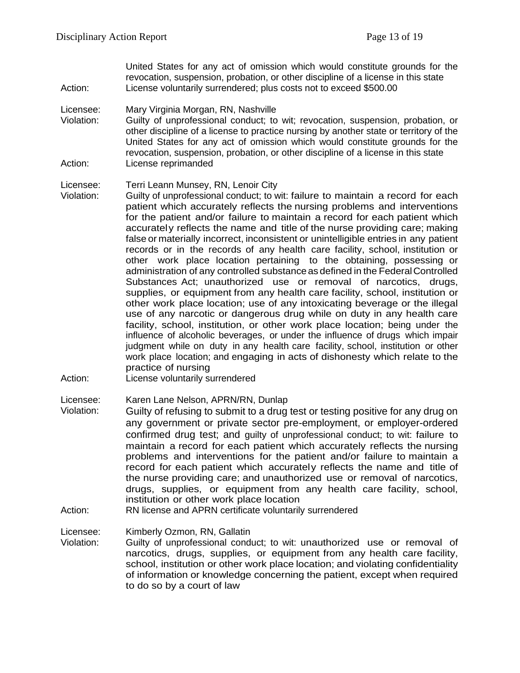United States for any act of omission which would constitute grounds for the revocation, suspension, probation, or other discipline of a license in this state Action: License voluntarily surrendered; plus costs not to exceed \$500.00

Licensee: Mary Virginia Morgan, RN, Nashville

Violation: Guilty of unprofessional conduct; to wit; revocation, suspension, probation, or other discipline of a license to practice nursing by another state or territory of the United States for any act of omission which would constitute grounds for the revocation, suspension, probation, or other discipline of a license in this state Action: License reprimanded

Licensee: Terri Leann Munsey, RN, Lenoir City

- Violation: Guilty of unprofessional conduct; to wit: failure to maintain a record for each patient which accurately reflects the nursing problems and interventions for the patient and/or failure to maintain a record for each patient which accurately reflects the name and title of the nurse providing care; making false or materially incorrect, inconsistent or unintelligible entries in any patient records or in the records of any health care facility, school, institution or other work place location pertaining to the obtaining, possessing or administration of any controlled substanceas defined in the FederalControlled Substances Act; unauthorized use or removal of narcotics, drugs, supplies, or equipment from any health care facility, school, institution or other work place location; use of any intoxicating beverage or the illegal use of any narcotic or dangerous drug while on duty in any health care facility, school, institution, or other work place location; being under the influence of alcoholic beverages, or under the influence of drugs which impair judgment while on duty in any health care facility, school, institution or other work place location; and engaging in acts of dishonesty which relate to the practice of nursing
- Action: License voluntarily surrendered

Licensee: Karen Lane Nelson, APRN/RN, Dunlap

- Violation: Guilty of refusing to submit to a drug test or testing positive for any drug on any government or private sector pre-employment, or employer-ordered confirmed drug test; and guilty of unprofessional conduct; to wit: failure to maintain a record for each patient which accurately reflects the nursing problems and interventions for the patient and/or failure to maintain a record for each patient which accurately reflects the name and title of the nurse providing care; and unauthorized use or removal of narcotics, drugs, supplies, or equipment from any health care facility, school, institution or other work place location
- Action: RN license and APRN certificate voluntarily surrendered

Licensee: Kimberly Ozmon, RN, Gallatin

Violation: Guilty of unprofessional conduct; to wit: unauthorized use or removal of narcotics, drugs, supplies, or equipment from any health care facility, school, institution or other work place location; and violating confidentiality of information or knowledge concerning the patient, except when required to do so by a court of law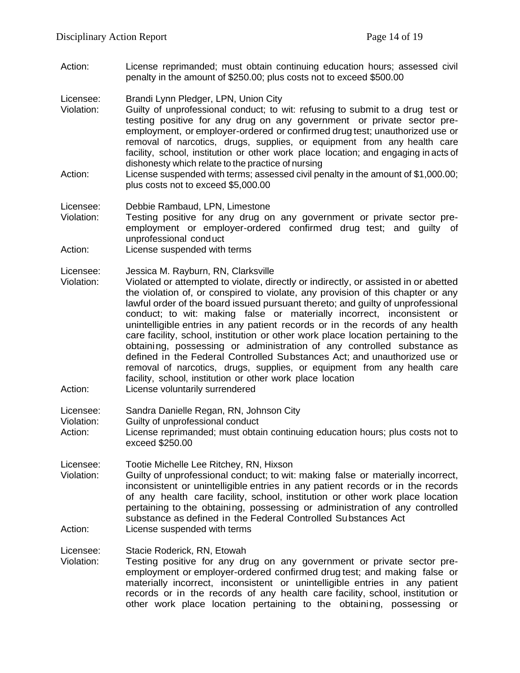Action: License reprimanded; must obtain continuing education hours; assessed civil penalty in the amount of \$250.00; plus costs not to exceed \$500.00

Licensee: Brandi Lynn Pledger, LPN, Union City

- Violation: Guilty of unprofessional conduct; to wit: refusing to submit to a drug test or testing positive for any drug on any government or private sector preemployment, or employer-ordered or confirmed drug test; unauthorized use or removal of narcotics, drugs, supplies, or equipment from any health care facility, school, institution or other work place location; and engaging in acts of dishonesty which relate to the practice of nursing
- Action: License suspended with terms; assessed civil penalty in the amount of \$1,000.00; plus costs not to exceed \$5,000.00

Licensee: Debbie Rambaud, LPN, Limestone

Violation: Testing positive for any drug on any government or private sector preemployment or employer-ordered confirmed drug test; and guilty of unprofessional conduct

Action: License suspended with terms

Licensee: Jessica M. Rayburn, RN, Clarksville

Violation: Violated or attempted to violate, directly or indirectly, or assisted in or abetted the violation of, or conspired to violate, any provision of this chapter or any lawful order of the board issued pursuant thereto; and guilty of unprofessional conduct; to wit: making false or materially incorrect, inconsistent or unintelligible entries in any patient records or in the records of any health care facility, school, institution or other work place location pertaining to the obtaining, possessing or administration of any controlled substance as defined in the Federal Controlled Substances Act; and unauthorized use or removal of narcotics, drugs, supplies, or equipment from any health care facility, school, institution or other work place location Action: License voluntarily surrendered

Licensee: Sandra Danielle Regan, RN, Johnson City

- Violation: Guilty of unprofessional conduct
- Action: License reprimanded; must obtain continuing education hours; plus costs not to exceed \$250.00

Licensee: Tootie Michelle Lee Ritchey, RN, Hixson

Violation: Guilty of unprofessional conduct; to wit: making false or materially incorrect, inconsistent or unintelligible entries in any patient records or in the records of any health care facility, school, institution or other work place location pertaining to the obtaining, possessing or administration of any controlled substance as defined in the Federal Controlled Substances Act Action: License suspended with terms

Licensee: Stacie Roderick, RN, Etowah

Violation: Testing positive for any drug on any government or private sector preemployment or employer-ordered confirmed drug test; and making false or materially incorrect, inconsistent or unintelligible entries in any patient records or in the records of any health care facility, school, institution or other work place location pertaining to the obtaining, possessing or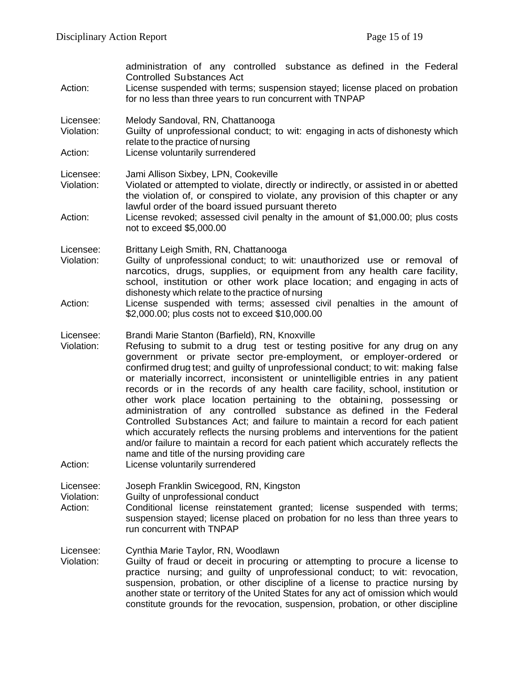| Action:                            | administration of any controlled substance as defined in the Federal<br><b>Controlled Substances Act</b><br>License suspended with terms; suspension stayed; license placed on probation<br>for no less than three years to run concurrent with TNPAP                                                                                                                                                                                                                                                                                                                                                                                                                                                                                                                                                                                                                                                                                                 |
|------------------------------------|-------------------------------------------------------------------------------------------------------------------------------------------------------------------------------------------------------------------------------------------------------------------------------------------------------------------------------------------------------------------------------------------------------------------------------------------------------------------------------------------------------------------------------------------------------------------------------------------------------------------------------------------------------------------------------------------------------------------------------------------------------------------------------------------------------------------------------------------------------------------------------------------------------------------------------------------------------|
| Licensee:<br>Violation:            | Melody Sandoval, RN, Chattanooga<br>Guilty of unprofessional conduct; to wit: engaging in acts of dishonesty which<br>relate to the practice of nursing                                                                                                                                                                                                                                                                                                                                                                                                                                                                                                                                                                                                                                                                                                                                                                                               |
| Action:                            | License voluntarily surrendered                                                                                                                                                                                                                                                                                                                                                                                                                                                                                                                                                                                                                                                                                                                                                                                                                                                                                                                       |
| Licensee:<br>Violation:            | Jami Allison Sixbey, LPN, Cookeville<br>Violated or attempted to violate, directly or indirectly, or assisted in or abetted<br>the violation of, or conspired to violate, any provision of this chapter or any<br>lawful order of the board issued pursuant thereto                                                                                                                                                                                                                                                                                                                                                                                                                                                                                                                                                                                                                                                                                   |
| Action:                            | License revoked; assessed civil penalty in the amount of \$1,000.00; plus costs<br>not to exceed \$5,000.00                                                                                                                                                                                                                                                                                                                                                                                                                                                                                                                                                                                                                                                                                                                                                                                                                                           |
| Licensee:<br>Violation:            | Brittany Leigh Smith, RN, Chattanooga<br>Guilty of unprofessional conduct; to wit: unauthorized use or removal of<br>narcotics, drugs, supplies, or equipment from any health care facility,<br>school, institution or other work place location; and engaging in acts of<br>dishonesty which relate to the practice of nursing                                                                                                                                                                                                                                                                                                                                                                                                                                                                                                                                                                                                                       |
| Action:                            | License suspended with terms; assessed civil penalties in the amount of<br>\$2,000.00; plus costs not to exceed \$10,000.00                                                                                                                                                                                                                                                                                                                                                                                                                                                                                                                                                                                                                                                                                                                                                                                                                           |
| Licensee:<br>Violation:<br>Action: | Brandi Marie Stanton (Barfield), RN, Knoxville<br>Refusing to submit to a drug test or testing positive for any drug on any<br>government or private sector pre-employment, or employer-ordered or<br>confirmed drug test; and guilty of unprofessional conduct; to wit: making false<br>or materially incorrect, inconsistent or unintelligible entries in any patient<br>records or in the records of any health care facility, school, institution or<br>other work place location pertaining to the obtaining, possessing or<br>administration of any controlled substance as defined in the Federal<br>Controlled Substances Act; and failure to maintain a record for each patient<br>which accurately reflects the nursing problems and interventions for the patient<br>and/or failure to maintain a record for each patient which accurately reflects the<br>name and title of the nursing providing care<br>License voluntarily surrendered |
| Licensee:<br>Violation:<br>Action: | Joseph Franklin Swicegood, RN, Kingston<br>Guilty of unprofessional conduct<br>Conditional license reinstatement granted; license suspended with terms;<br>suspension stayed; license placed on probation for no less than three years to<br>run concurrent with TNPAP                                                                                                                                                                                                                                                                                                                                                                                                                                                                                                                                                                                                                                                                                |
| Licensee:<br>Violation:            | Cynthia Marie Taylor, RN, Woodlawn<br>Guilty of fraud or deceit in procuring or attempting to procure a license to<br>practice nursing; and guilty of unprofessional conduct; to wit: revocation,<br>suspension, probation, or other discipline of a license to practice nursing by<br>another state or territory of the United States for any act of omission which would<br>constitute grounds for the revocation, suspension, probation, or other discipline                                                                                                                                                                                                                                                                                                                                                                                                                                                                                       |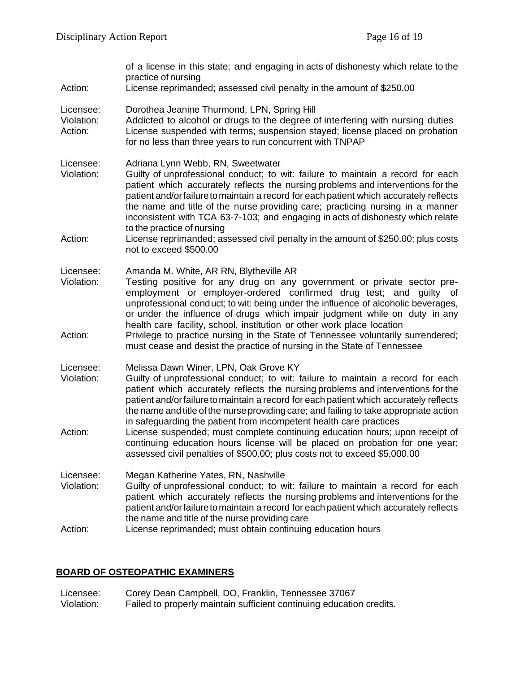|                                    | of a license in this state; and engaging in acts of dishonesty which relate to the<br>practice of nursing                                                                                                                                                                                                                                                                                                                                                                                                                                                                                                                                                                                                           |
|------------------------------------|---------------------------------------------------------------------------------------------------------------------------------------------------------------------------------------------------------------------------------------------------------------------------------------------------------------------------------------------------------------------------------------------------------------------------------------------------------------------------------------------------------------------------------------------------------------------------------------------------------------------------------------------------------------------------------------------------------------------|
| Action:                            | License reprimanded; assessed civil penalty in the amount of \$250.00                                                                                                                                                                                                                                                                                                                                                                                                                                                                                                                                                                                                                                               |
| Licensee:<br>Violation:<br>Action: | Dorothea Jeanine Thurmond, LPN, Spring Hill<br>Addicted to alcohol or drugs to the degree of interfering with nursing duties<br>License suspended with terms; suspension stayed; license placed on probation<br>for no less than three years to run concurrent with TNPAP                                                                                                                                                                                                                                                                                                                                                                                                                                           |
| Licensee:<br>Violation:            | Adriana Lynn Webb, RN, Sweetwater<br>Guilty of unprofessional conduct; to wit: failure to maintain a record for each<br>patient which accurately reflects the nursing problems and interventions for the<br>patient and/or failure to maintain a record for each patient which accurately reflects<br>the name and title of the nurse providing care; practicing nursing in a manner<br>inconsistent with TCA 63-7-103; and engaging in acts of dishonesty which relate<br>to the practice of nursing                                                                                                                                                                                                               |
| Action:                            | License reprimanded; assessed civil penalty in the amount of \$250.00; plus costs<br>not to exceed \$500.00                                                                                                                                                                                                                                                                                                                                                                                                                                                                                                                                                                                                         |
| Licensee:<br>Violation:<br>Action: | Amanda M. White, AR RN, Blytheville AR<br>Testing positive for any drug on any government or private sector pre-<br>employment or employer-ordered confirmed drug test; and guilty of<br>unprofessional conduct; to wit: being under the influence of alcoholic beverages,<br>or under the influence of drugs which impair judgment while on duty in any<br>health care facility, school, institution or other work place location<br>Privilege to practice nursing in the State of Tennessee voluntarily surrendered;<br>must cease and desist the practice of nursing in the State of Tennessee                                                                                                                   |
| Licensee:<br>Violation:<br>Action: | Melissa Dawn Winer, LPN, Oak Grove KY<br>Guilty of unprofessional conduct; to wit: failure to maintain a record for each<br>patient which accurately reflects the nursing problems and interventions for the<br>patient and/or failure to maintain a record for each patient which accurately reflects<br>the name and title of the nurse providing care; and failing to take appropriate action<br>in safeguarding the patient from incompetent health care practices<br>License suspended; must complete continuing education hours; upon receipt of<br>continuing education hours license will be placed on probation for one year;<br>assessed civil penalties of \$500.00; plus costs not to exceed \$5,000.00 |
| Licensee:<br>Violation:<br>Action: | Megan Katherine Yates, RN, Nashville<br>Guilty of unprofessional conduct; to wit: failure to maintain a record for each<br>patient which accurately reflects the nursing problems and interventions for the<br>patient and/or failure to maintain a record for each patient which accurately reflects<br>the name and title of the nurse providing care<br>License reprimanded; must obtain continuing education hours                                                                                                                                                                                                                                                                                              |

# **BOARD OF OSTEOPATHIC EXAMINERS**

Licensee: Corey Dean Campbell, DO, Franklin, Tennessee 37067 Violation: Failed to properly maintain sufficient continuing education credits.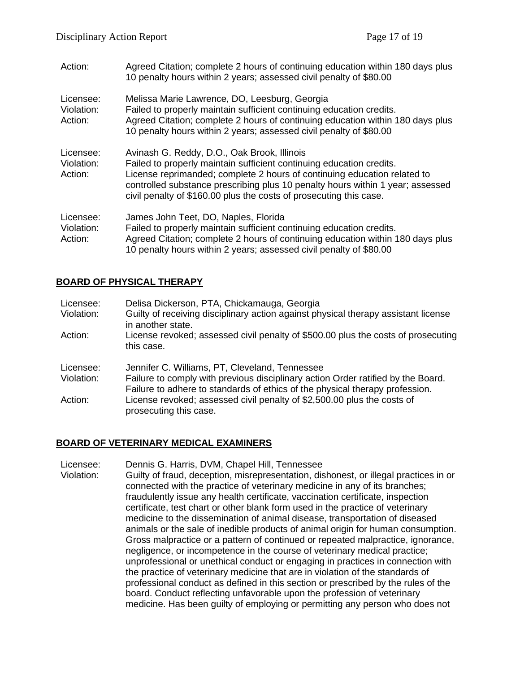| Action:                            | Agreed Citation; complete 2 hours of continuing education within 180 days plus<br>10 penalty hours within 2 years; assessed civil penalty of \$80.00                                                                                                                                                                                                    |
|------------------------------------|---------------------------------------------------------------------------------------------------------------------------------------------------------------------------------------------------------------------------------------------------------------------------------------------------------------------------------------------------------|
| Licensee:<br>Violation:<br>Action: | Melissa Marie Lawrence, DO, Leesburg, Georgia<br>Failed to properly maintain sufficient continuing education credits.<br>Agreed Citation; complete 2 hours of continuing education within 180 days plus<br>10 penalty hours within 2 years; assessed civil penalty of \$80.00                                                                           |
| Licensee:<br>Violation:<br>Action: | Avinash G. Reddy, D.O., Oak Brook, Illinois<br>Failed to properly maintain sufficient continuing education credits.<br>License reprimanded; complete 2 hours of continuing education related to<br>controlled substance prescribing plus 10 penalty hours within 1 year; assessed<br>civil penalty of \$160.00 plus the costs of prosecuting this case. |
| Licensee:<br>Violation:<br>Action: | James John Teet, DO, Naples, Florida<br>Failed to properly maintain sufficient continuing education credits.<br>Agreed Citation; complete 2 hours of continuing education within 180 days plus<br>10 penalty hours within 2 years; assessed civil penalty of \$80.00                                                                                    |

# **BOARD OF PHYSICAL THERAPY**

| Licensee:<br>Violation: | Delisa Dickerson, PTA, Chickamauga, Georgia<br>Guilty of receiving disciplinary action against physical therapy assistant license<br>in another state.           |
|-------------------------|------------------------------------------------------------------------------------------------------------------------------------------------------------------|
| Action:                 | License revoked; assessed civil penalty of \$500.00 plus the costs of prosecuting<br>this case.                                                                  |
| Licensee:               | Jennifer C. Williams, PT, Cleveland, Tennessee                                                                                                                   |
| Violation:              | Failure to comply with previous disciplinary action Order ratified by the Board.<br>Failure to adhere to standards of ethics of the physical therapy profession. |
| Action:                 | License revoked; assessed civil penalty of \$2,500.00 plus the costs of<br>prosecuting this case.                                                                |

## **BOARD OF VETERINARY MEDICAL EXAMINERS**

Licensee: Dennis G. Harris, DVM, Chapel Hill, Tennessee

Violation: Guilty of fraud, deception, misrepresentation, dishonest, or illegal practices in or connected with the practice of veterinary medicine in any of its branches; fraudulently issue any health certificate, vaccination certificate, inspection certificate, test chart or other blank form used in the practice of veterinary medicine to the dissemination of animal disease, transportation of diseased animals or the sale of inedible products of animal origin for human consumption. Gross malpractice or a pattern of continued or repeated malpractice, ignorance, negligence, or incompetence in the course of veterinary medical practice; unprofessional or unethical conduct or engaging in practices in connection with the practice of veterinary medicine that are in violation of the standards of professional conduct as defined in this section or prescribed by the rules of the board. Conduct reflecting unfavorable upon the profession of veterinary medicine. Has been guilty of employing or permitting any person who does not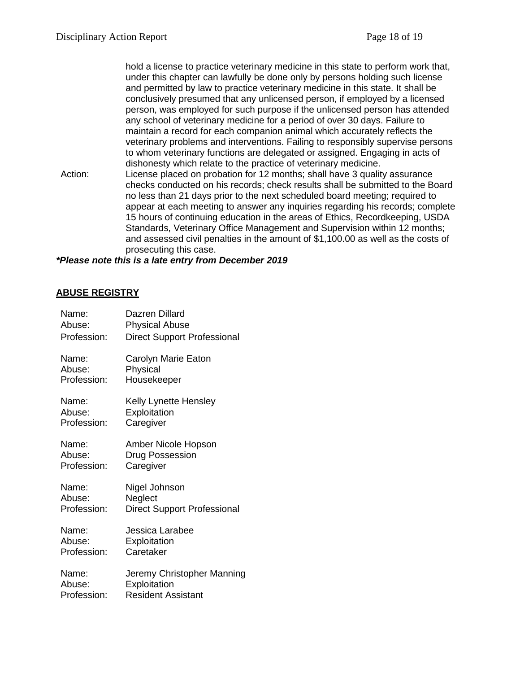hold a license to practice veterinary medicine in this state to perform work that, under this chapter can lawfully be done only by persons holding such license and permitted by law to practice veterinary medicine in this state. It shall be conclusively presumed that any unlicensed person, if employed by a licensed person, was employed for such purpose if the unlicensed person has attended any school of veterinary medicine for a period of over 30 days. Failure to maintain a record for each companion animal which accurately reflects the veterinary problems and interventions. Failing to responsibly supervise persons to whom veterinary functions are delegated or assigned. Engaging in acts of dishonesty which relate to the practice of veterinary medicine.

Action: License placed on probation for 12 months; shall have 3 quality assurance checks conducted on his records; check results shall be submitted to the Board no less than 21 days prior to the next scheduled board meeting; required to appear at each meeting to answer any inquiries regarding his records; complete 15 hours of continuing education in the areas of Ethics, Recordkeeping, USDA Standards, Veterinary Office Management and Supervision within 12 months; and assessed civil penalties in the amount of \$1,100.00 as well as the costs of prosecuting this case.

*\*Please note this is a late entry from December 2019*

## **ABUSE REGISTRY**

| Name:       | Dazren Dillard                     |
|-------------|------------------------------------|
| Abuse:      | <b>Physical Abuse</b>              |
| Profession: | <b>Direct Support Professional</b> |
| Name:       | Carolyn Marie Eaton                |
| Abuse:      | Physical                           |
| Profession: | Housekeeper                        |
| Name:       | Kelly Lynette Hensley              |
| Abuse:      | Exploitation                       |
| Profession: | Caregiver                          |
| Name:       | Amber Nicole Hopson                |
| Abuse:      | Drug Possession                    |
| Profession: | Caregiver                          |
| Name:       | Nigel Johnson                      |
| Abuse:      | Neglect                            |
| Profession: | <b>Direct Support Professional</b> |
| Name:       | Jessica Larabee                    |
| Abuse:      | Exploitation                       |
| Profession: | Caretaker                          |
| Name:       | Jeremy Christopher Manning         |
| Abuse:      | Exploitation                       |
| Profession: | <b>Resident Assistant</b>          |